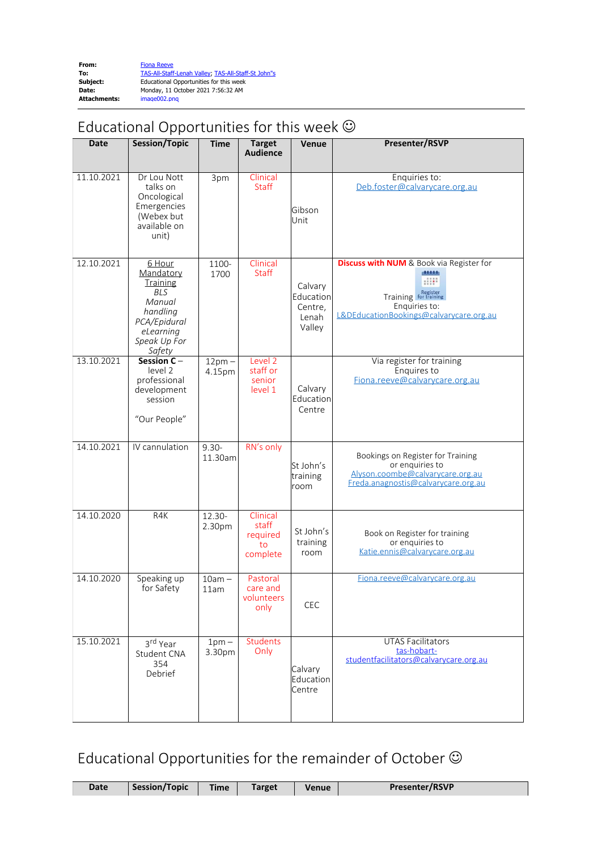| From:               | <b>Fiona Reeve</b>                                  |
|---------------------|-----------------------------------------------------|
| To:                 | TAS-All-Staff-Lenah Valley; TAS-All-Staff-St John"s |
| Subject:            | Educational Opportunities for this week             |
| Date:               | Monday, 11 October 2021 7:56:32 AM                  |
| <b>Attachments:</b> | image002.png                                        |

## Educational Opportunities for this week  $\odot$

| <b>Date</b> | Session/Topic                                                                                                              | <b>Time</b>         | <b>Target</b><br><b>Audience</b>                | <b>Venue</b>                                       | Presenter/RSVP                                                                                                                                   |
|-------------|----------------------------------------------------------------------------------------------------------------------------|---------------------|-------------------------------------------------|----------------------------------------------------|--------------------------------------------------------------------------------------------------------------------------------------------------|
| 11.10.2021  | Dr Lou Nott<br>talks on<br>Oncological<br>Emergencies<br>(Webex but<br>available on<br>unit)                               | 3pm                 | Clinical<br><b>Staff</b>                        | Gibson<br>Unit                                     | Enquiries to:<br>Deb.foster@calvarycare.org.au                                                                                                   |
| 12.10.2021  | 6 Hour<br>Mandatory<br>Training<br><b>BLS</b><br>Manual<br>handling<br>PCA/Epidural<br>eLearning<br>Speak Up For<br>Safety | 1100-<br>1700       | Clinical<br><b>Staff</b>                        | Calvary<br>Education<br>Centre,<br>Lenah<br>Valley | <b>Discuss with NUM</b> & Book via Register for<br>11111<br>Training <b>Register</b><br>Enquiries to:<br>L&DEducationBookings@calvarycare.org.au |
| 13.10.2021  | Session C-<br>level 2<br>professional<br>development<br>session<br>"Our People"                                            | $12pm -$<br>4.15pm  | Level 2<br>staff or<br>senior<br>level 1        | Calvary<br>Education<br>Centre                     | Via register for training<br>Enquires to<br>Fiona.reeve@calvarycare.org.au                                                                       |
| 14.10.2021  | IV cannulation                                                                                                             | $9.30 -$<br>11.30am | RN's only                                       | St John's<br>training<br>room                      | Bookings on Register for Training<br>or enquiries to<br>Alyson.coombe@calvarycare.org.au<br>Freda.anagnostis@calvarycare.org.au                  |
| 14.10.2020  | R4K                                                                                                                        | 12.30-<br>2.30pm    | Clinical<br>staff<br>required<br>to<br>complete | St John's<br>training<br>room                      | Book on Register for training<br>or enquiries to<br>Katie.ennis@calvarycare.org.au                                                               |
| 14.10.2020  | Speaking up<br>for Safety                                                                                                  | $10am -$<br>11am    | Pastoral<br>care and<br>volunteers<br>only      | CEC                                                | Fiona.reeve@calvarycare.org.au                                                                                                                   |
| 15.10.2021  | 3rd Year<br>Student CNA<br>354<br>Debrief                                                                                  | $1pm -$<br>3.30pm   | <b>Students</b><br>Only                         | Calvary<br>Education<br>Centre                     | <b>UTAS Facilitators</b><br>tas-hobart-<br>studentfacilitators@calvarycare.org.au                                                                |

Educational Opportunities for the remainder of October  $\odot$ 

| <b>Date</b> | Session/Topic | <b>Time</b> | Target | Venue | <b>Presenter/RSVP</b> |
|-------------|---------------|-------------|--------|-------|-----------------------|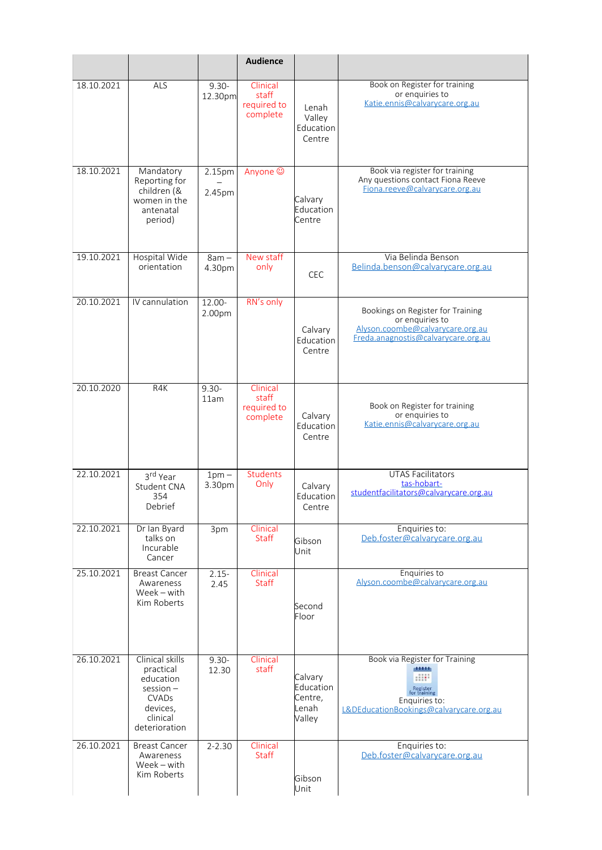|            |                                                                                                                      |                     | <b>Audience</b>                              |                                                    |                                                                                                                                  |
|------------|----------------------------------------------------------------------------------------------------------------------|---------------------|----------------------------------------------|----------------------------------------------------|----------------------------------------------------------------------------------------------------------------------------------|
| 18.10.2021 | ALS                                                                                                                  | $9.30 -$<br>12.30pm | Clinical<br>staff<br>required to<br>complete | Lenah<br>Valley<br>Education<br>Centre             | Book on Register for training<br>or enquiries to<br>Katie.ennis@calvarycare.org.au                                               |
| 18.10.2021 | Mandatory<br>Reporting for<br>children (&<br>women in the<br>antenatal<br>period)                                    | 2.15pm<br>2.45pm    | Anyone ©                                     | Calvary<br>Education<br>Centre                     | Book via register for training<br>Any questions contact Fiona Reeve<br>Fiona.reeve@calvarycare.org.au                            |
| 19.10.2021 | <b>Hospital Wide</b><br>orientation                                                                                  | $8am -$<br>4.30pm   | New staff<br>only                            | <b>CEC</b>                                         | Via Belinda Benson<br>Belinda.benson@calvarycare.org.au                                                                          |
| 20.10.2021 | IV cannulation                                                                                                       | 12.00-<br>2.00pm    | RN's only                                    | Calvary<br>Education<br>Centre                     | Bookings on Register for Training<br>or enquiries to<br>Alyson.coombe@calvarycare.org.au<br>Freda.anagnostis@calvarycare.org.au  |
| 20.10.2020 | R4K                                                                                                                  | $9.30 -$<br>11am    | Clinical<br>staff<br>required to<br>complete | Calvary<br>Education<br>Centre                     | Book on Register for training<br>or enquiries to<br>Katie.ennis@calvarycare.org.au                                               |
| 22.10.2021 | 3rd Year<br>Student CNA<br>354<br>Debrief                                                                            | $1pm -$<br>3.30pm   | <b>Students</b><br>Only                      | Calvary<br>Education<br>Centre                     | <b>UTAS Facilitators</b><br>tas-hobart-<br>studentfacilitators@calvarycare.org.au                                                |
| 22.10.2021 | Dr Ian Byard<br>talks on<br>Incurable<br>Cancer                                                                      | 3pm                 | Clinical<br><b>Staff</b>                     | Gibson<br>Unit                                     | Enquiries to:<br>Deb.foster@calvarycare.org.au                                                                                   |
| 25.10.2021 | <b>Breast Cancer</b><br>Awareness<br>Week - with<br>Kim Roberts                                                      | $2.15 -$<br>2.45    | Clinical<br><b>Staff</b>                     | Second<br>Floor                                    | Enquiries to<br>Alyson.coombe@calvarycare.org.au                                                                                 |
| 26.10.2021 | Clinical skills<br>practical<br>education<br>$s$ ession $-$<br><b>CVADs</b><br>devices,<br>clinical<br>deterioration | $9.30 -$<br>12.30   | Clinical<br>staff                            | Calvary<br>Education<br>Centre,<br>Lenah<br>Valley | Book via Register for Training<br>dititi<br>Register<br>for training<br>Enquiries to:<br>L&DEducationBookings@calvarycare.org.au |
| 26.10.2021 | <b>Breast Cancer</b><br>Awareness<br>Week - with<br>Kim Roberts                                                      | $2 - 2.30$          | Clinical<br><b>Staff</b>                     | Gibson<br>Unit                                     | Enquiries to:<br>Deb.foster@calvarycare.org.au                                                                                   |